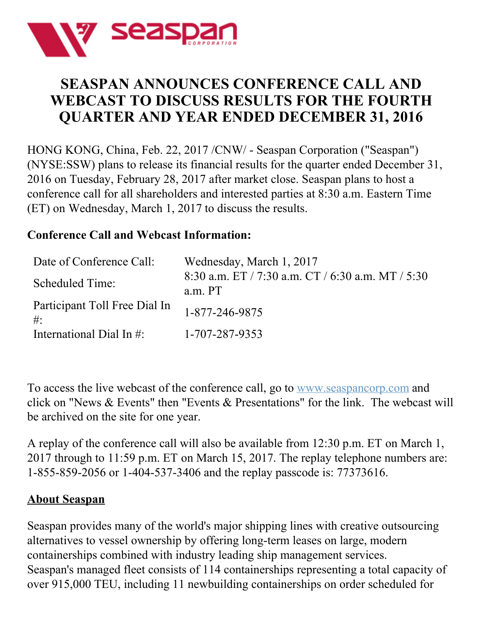

# **SEASPAN ANNOUNCES CONFERENCE CALL AND WEBCAST TO DISCUSS RESULTS FOR THE FOURTH QUARTER AND YEAR ENDED DECEMBER 31, 2016**

HONG KONG, China, Feb. 22, 2017 /CNW/ - Seaspan Corporation ("Seaspan") (NYSE:SSW) plans to release its financial results for the quarter ended December 31, 2016 on Tuesday, February 28, 2017 after market close. Seaspan plans to host a conference call for all shareholders and interested parties at 8:30 a.m. Eastern Time (ET) on Wednesday, March 1, 2017 to discuss the results.

## **Conference Call and Webcast Information:**

| Date of Conference Call:                | Wednesday, March 1, 2017                                     |
|-----------------------------------------|--------------------------------------------------------------|
| Scheduled Time:                         | 8:30 a.m. ET / 7:30 a.m. CT / 6:30 a.m. MT / 5:30<br>a.m. PT |
| Participant Toll Free Dial In<br>$\#$ : | 1-877-246-9875                                               |
| International Dial In #:                | 1-707-287-9353                                               |

To access the live webcast of the conference call, go to [www.seaspancorp.com](http://www.seaspancorp.com/) and click on "News & Events" then "Events & Presentations" for the link. The webcast will be archived on the site for one year.

A replay of the conference call will also be available from 12:30 p.m. ET on March 1, 2017 through to 11:59 p.m. ET on March 15, 2017. The replay telephone numbers are: 1-855-859-2056 or 1-404-537-3406 and the replay passcode is: 77373616.

## **About Seaspan**

Seaspan provides many of the world's major shipping lines with creative outsourcing alternatives to vessel ownership by offering long-term leases on large, modern containerships combined with industry leading ship management services. Seaspan's managed fleet consists of 114 containerships representing a total capacity of over 915,000 TEU, including 11 newbuilding containerships on order scheduled for